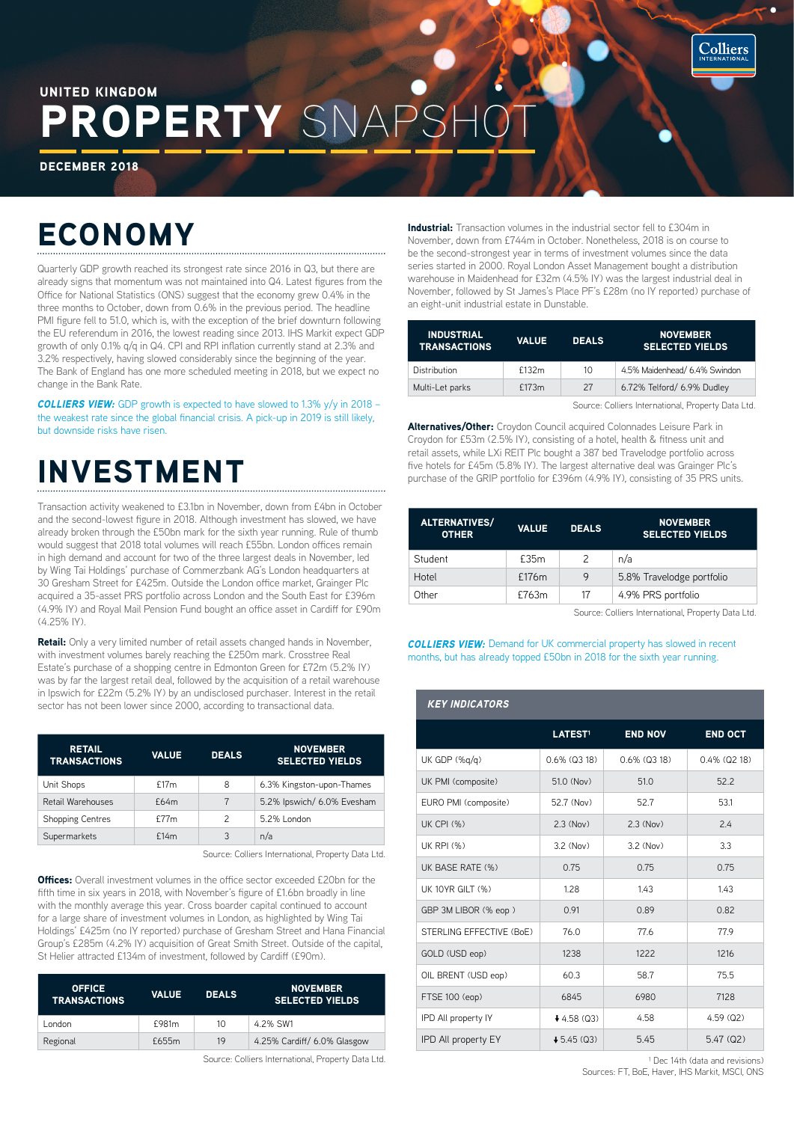

### ROPERTY SNA UNITED KINGDOM

DECEMBER 2018

# ECONOMY

Quarterly GDP growth reached its strongest rate since 2016 in Q3, but there are already signs that momentum was not maintained into Q4. Latest figures from the Office for National Statistics (ONS) suggest that the economy grew 0.4% in the three months to October, down from 0.6% in the previous period. The headline PMI figure fell to 51.0, which is, with the exception of the brief downturn following the EU referendum in 2016, the lowest reading since 2013. IHS Markit expect GDP growth of only 0.1% q/q in Q4. CPI and RPI inflation currently stand at 2.3% and 3.2% respectively, having slowed considerably since the beginning of the year. The Bank of England has one more scheduled meeting in 2018, but we expect no change in the Bank Rate.

*COLLIERS VIEW:* GDP growth is expected to have slowed to 1.3% y/y in 2018 – the weakest rate since the global financial crisis. A pick-up in 2019 is still likely, but downside risks have risen.

## INVESTMENT

Transaction activity weakened to £3.1bn in November, down from £4bn in October and the second-lowest figure in 2018. Although investment has slowed, we have already broken through the £50bn mark for the sixth year running. Rule of thumb would suggest that 2018 total volumes will reach £55bn. London offices remain in high demand and account for two of the three largest deals in November, led by Wing Tai Holdings' purchase of Commerzbank AG's London headquarters at 30 Gresham Street for £425m. Outside the London office market, Grainger Plc acquired a 35-asset PRS portfolio across London and the South East for £396m (4.9% IY) and Royal Mail Pension Fund bought an office asset in Cardiff for £90m (4.25% IY).

Retail: Only a very limited number of retail assets changed hands in November, with investment volumes barely reaching the £250m mark. Crosstree Real Estate's purchase of a shopping centre in Edmonton Green for £72m (5.2% IY) was by far the largest retail deal, followed by the acquisition of a retail warehouse in Ipswich for £22m (5.2% IY) by an undisclosed purchaser. Interest in the retail sector has not been lower since 2000, according to transactional data.

| <b>RETAIL</b><br><b>TRANSACTIONS</b> | <b>VALUE</b> | <b>DEALS</b>  | <b>NOVEMBER</b><br><b>SELECTED YIELDS</b> |
|--------------------------------------|--------------|---------------|-------------------------------------------|
| Unit Shops                           | f17m         | 8             | 6.3% Kingston-upon-Thames                 |
| Retail Warehouses                    | f64m         | 7             | 5.2% Ipswich/ 6.0% Evesham                |
| <b>Shopping Centres</b>              | f77m         | $\mathcal{P}$ | 5.2% London                               |
| Supermarkets                         | f14m         | 3             | n/a                                       |

Source: Colliers International, Property Data Ltd.

**Offices:** Overall investment volumes in the office sector exceeded £20bn for the fifth time in six years in 2018, with November's figure of £1.6bn broadly in line with the monthly average this year. Cross boarder capital continued to account for a large share of investment volumes in London, as highlighted by Wing Tai Holdings' £425m (no IY reported) purchase of Gresham Street and Hana Financial Group's £285m (4.2% IY) acquisition of Great Smith Street. Outside of the capital, St Helier attracted £134m of investment, followed by Cardiff (£90m).

| <b>OFFICE</b><br><b>TRANSACTIONS</b> | <b>VALUE</b> | <b>DEALS</b> | <b>NOVEMBER</b><br><b>SELECTED YIELDS</b> |
|--------------------------------------|--------------|--------------|-------------------------------------------|
| London                               | £981m        | $10 \,$      | 4.2% SW1                                  |
| Regional                             | £655m        | 19           | 4.25% Cardiff/ 6.0% Glasgow               |
|                                      |              |              |                                           |

Source: Colliers International, Property Data Ltd.

Industrial: Transaction volumes in the industrial sector fell to £304m in November, down from £744m in October. Nonetheless, 2018 is on course to be the second-strongest year in terms of investment volumes since the data series started in 2000. Royal London Asset Management bought a distribution warehouse in Maidenhead for £32m (4.5% IY) was the largest industrial deal in November, followed by St James's Place PF's £28m (no IY reported) purchase of an eight-unit industrial estate in Dunstable.

| <b>INDUSTRIAL</b><br><b>TRANSACTIONS</b> | <b>VALUE</b> | <b>DEALS</b> | <b>NOVEMBER</b><br><b>SELECTED YIELDS</b> |
|------------------------------------------|--------------|--------------|-------------------------------------------|
| Distribution                             | £132m        | 10           | 4.5% Maidenhead/ 6.4% Swindon             |
| Multi-Let parks                          | £173m        | 27           | 6.72% Telford/ 6.9% Dudley                |

Source: Colliers International, Property Data Ltd.

Alternatives/Other: Croydon Council acquired Colonnades Leisure Park in Croydon for £53m (2.5% IY), consisting of a hotel, health & fitness unit and retail assets, while LXi REIT Plc bought a 387 bed Travelodge portfolio across five hotels for £45m (5.8% IY). The largest alternative deal was Grainger Plc's purchase of the GRIP portfolio for £396m (4.9% IY), consisting of 35 PRS units.

| <b>ALTERNATIVES/</b><br><b>OTHER</b> | <b>VALUE</b> | <b>DEALS</b>  | <b>NOVEMBER</b><br><b>SELECTED YIELDS</b> |
|--------------------------------------|--------------|---------------|-------------------------------------------|
| Student                              | £35m         | $\mathcal{P}$ | n/a                                       |
| Hotel                                | £176m        | 9             | 5.8% Travelodge portfolio                 |
| Other                                | £763m        | 17            | 4.9% PRS portfolio                        |

Source: Colliers International, Property Data Ltd.

*COLLIERS VIEW:* Demand for UK commercial property has slowed in recent months, but has already topped £50bn in 2018 for the sixth year running.

| <b>KEY INDICATORS</b>    |                     |                    |                 |  |
|--------------------------|---------------------|--------------------|-----------------|--|
|                          | LATEST <sup>1</sup> | <b>END NOV</b>     | <b>END OCT</b>  |  |
| UK GDP (%q/q)            | $0.6\%$ ( $0.318$ ) | $0.6\%$ ( $Q3$ 18) | $0.4\%$ (Q2 18) |  |
| UK PMI (composite)       | 51.0 (Nov)          | 51.0               | 52.2            |  |
| EURO PMI (composite)     | 52.7 (Nov)          | 52.7               | 53.1            |  |
| <b>UK CPI (%)</b>        | $2.3$ (Nov)         | $2.3$ (Nov)        | 2.4             |  |
| <b>UK RPI (%)</b>        | $3.2$ (Nov)         | $3.2$ (Nov)        | 3.3             |  |
| UK BASE RATE (%)         | 0.75                | 0.75               | 0.75            |  |
| <b>UK 10YR GILT (%)</b>  | 1.28                | 1.43               | 1.43            |  |
| GBP 3M LIBOR (% eop)     | 0.91                | 0.89               | 0.82            |  |
| STERLING EFFECTIVE (BoE) | 76.0                | 77.6               | 77.9            |  |
| GOLD (USD eop)           | 1238                | 1222               | 1216            |  |
| OIL BRENT (USD eop)      | 60.3                | 58.7               | 75.5            |  |
| FTSE 100 (eop)           | 6845                | 6980               | 7128            |  |
| IPD All property IY      | $+4.58$ (Q3)        | 4.58               | 4.59(02)        |  |
| IPD All property EY      | $+5.45(03)$         | 5.45               | 5.47(02)        |  |

<sup>1</sup> Dec 14th (data and revisions) Sources: FT, BoE, Haver, IHS Markit, MSCI, ONS